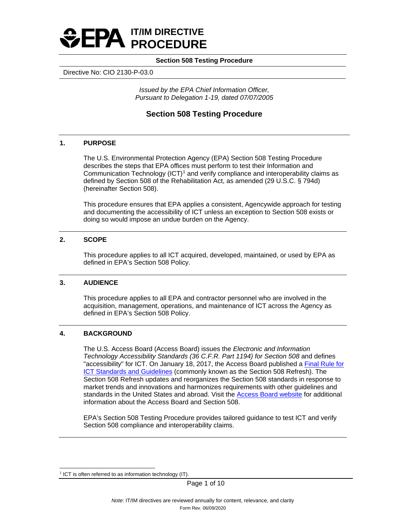

Directive No: CIO 2130-P-03.0

*Issued by the EPA Chief Information Officer, Pursuant to Delegation 1-19, dated 07/07/2005*

# **Section 508 Testing Procedure**

# **1. PURPOSE**

The U.S. Environmental Protection Agency (EPA) Section 508 Testing Procedure describes the steps that EPA offices must perform to test their Information and Communication Technology  $(ICT)^1$  $(ICT)^1$  and verify compliance and interoperability claims as defined by Section 508 of the Rehabilitation Act, as amended (29 U.S.C. § 794d) (hereinafter Section 508).

This procedure ensures that EPA applies a consistent, Agencywide approach for testing and documenting the accessibility of ICT unless an exception to Section 508 exists or doing so would impose an undue burden on the Agency.

# **2. SCOPE**

This procedure applies to all ICT acquired, developed, maintained, or used by EPA as defined in EPA's Section 508 Policy.

# **3. AUDIENCE**

This procedure applies to all EPA and contractor personnel who are involved in the acquisition, management, operations, and maintenance of ICT across the Agency as defined in EPA's Section 508 Policy.

# **4. BACKGROUND**

The U.S. Access Board (Access Board) issues the *Electronic and Information Technology Accessibility Standards (36 C.F.R. Part 1194) for Section 508* and defines "accessibility" for ICT. On January 18, 2017, the Access Board published a [Final Rule for](https://www.access-board.gov/guidelines-and-standards/communications-and-it/about-the-ict-refresh/final-rule) **[ICT Standards and Guidelines](https://www.access-board.gov/guidelines-and-standards/communications-and-it/about-the-ict-refresh/final-rule) (commonly known as the Section 508 Refresh). The** Section 508 Refresh updates and reorganizes the Section 508 standards in response to market trends and innovations and harmonizes requirements with other guidelines and standards in the United States and abroad. Visit the [Access Board website](https://www.access-board.gov/ict/) for additional information about the Access Board and Section 508.

EPA's Section 508 Testing Procedure provides tailored guidance to test ICT and verify Section 508 compliance and interoperability claims.

<span id="page-0-0"></span><sup>&</sup>lt;sup>1</sup> ICT is often referred to as information technology (IT).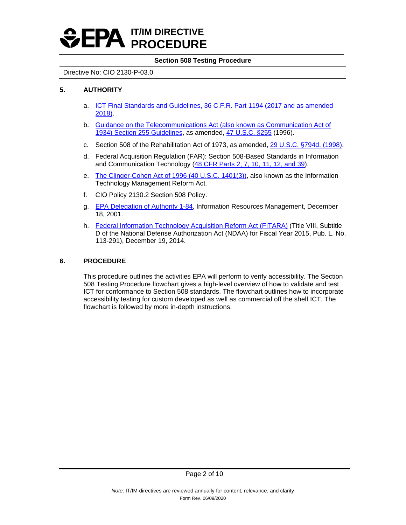

# Directive No: CIO 2130-P-03.0

# **5. AUTHORITY**

- a. [ICT Final Standards and Guidelines, 36 C.F.R. Part 1194 \(2017 and as amended](https://www.access-board.gov/ict/) [2018\).](https://www.access-board.gov/ict/)
- b. [Guidance on the Telecommunications Act \(also known as Communication Act of](https://www.access-board.gov/ict/#255ch1) [1934\) Section 255 Guidelines,](https://www.access-board.gov/ict/#255ch1) as amended, [47 U.S.C. §255](https://www.govinfo.gov/content/pkg/CFR-2011-title36-vol3/xml/CFR-2011-title36-vol3-part1193.xml) (1996).
- c. Section 508 of the Rehabilitation Act of 1973, as amended, [29 U.S.C. §794d, \(1998\).](https://www.gpo.gov/fdsys/pkg/USCODE-2011-title29/html/USCODE-2011-title29-chap16-subchapV-sec794d.htm)
- d. Federal Acquisition Regulation (FAR): Section 508-Based Standards in Information and Communication Technology [\(48 CFR Parts 2, 7, 10, 11, 12, and 39\)](https://www.federalregister.gov/documents/2021/08/11/2021-16363/federal-acquisition-regulation-section-508-based-standards-in-information-and-communication).
- e. The Clinger-Cohen [Act of 1996 \(40 U.S.C. 1401\(3\)\),](https://www.govinfo.gov/content/pkg/USCODE-2011-title40/html/USCODE-2011-title40-subtitleIII.htm) also known as the Information Technology Management Reform Act.
- f. CIO Policy 2130.2 Section 508 Policy.
- g. [EPA Delegation of Authority 1-84,](http://intranet.epa.gov/ohr/rmpolicy/ads/dm/1-84_534.htm) Information Resources Management, December 18, 2001.
- h. [Federal Information Technology Acquisition Reform Act \(FITARA\)](https://www.congress.gov/113/plaws/publ291/PLAW-113publ291.pdf#page=148) (Title VIII, Subtitle D of the National Defense Authorization Act (NDAA) for Fiscal Year 2015, Pub. L. No. 113-291), December 19, 2014.

# **6. PROCEDURE**

This procedure outlines the activities EPA will perform to verify accessibility. The Section 508 Testing Procedure flowchart gives a high-level overview of how to validate and test ICT for conformance to Section 508 standards. The flowchart outlines how to incorporate accessibility testing for custom developed as well as commercial off the shelf ICT. The flowchart is followed by more in-depth instructions.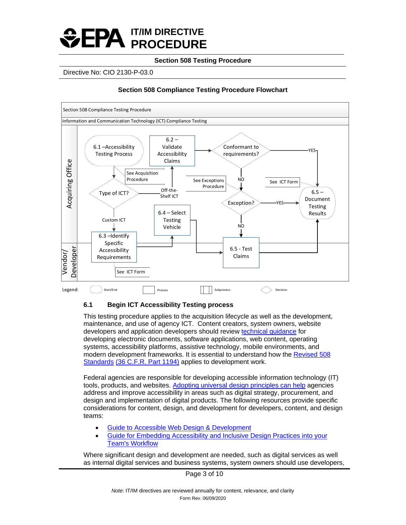

Directive No: CIO 2130-P-03.0

# **Section 508 Compliance Testing Procedure Flowchart**



# **6.1 Begin ICT Accessibility Testing process**

This testing procedure applies to the acquisition lifecycle as well as the development, maintenance, and use of agency ICT. Content creators, system owners, website developers and application developers should review technical [guidance](https://www.section508.gov/create/software-websites) for developing electronic documents, software applications, web content, operating systems, accessibility platforms, assistive technology, mobile environments, and modern development frameworks. It is essential to understand how the [Revised 508](https://www.govinfo.gov/content/pkg/CFR-2011-title36-vol3/xml/CFR-2011-title36-vol3-part1194.xml) Standards [\(36 C.F.R.](https://www.govinfo.gov/content/pkg/CFR-2011-title36-vol3/xml/CFR-2011-title36-vol3-part1194.xml) Part 1194) applies to development work.

Federal agencies are responsible for developing accessible information technology (IT) tools, products, and websites. [Adopting universal design principles can help](https://section508.gov/create/universal-design) agencies address and improve accessibility in areas such as digital strategy, procurement, and design and implementation of digital products. The following resources provide specific considerations for content, design, and development for developers, content, and design teams:

- [Guide to Accessible Web Design & Development](https://www.section508.gov/content/guide-accessible-web-design-development)
- [Guide for Embedding Accessibility and Inclusive Design Practices into your](https://accessibility.digital.gov/) [Team's Workflow](https://accessibility.digital.gov/)

Where significant design and development are needed, such as digital services as well as internal digital services and business systems, system owners should use developers,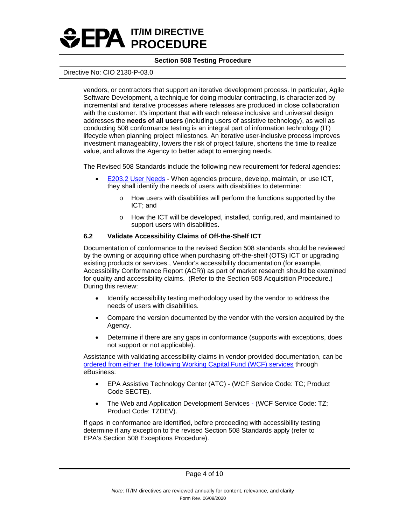

#### Directive No: CIO 2130-P-03.0

vendors, or contractors that support an iterative development process. In particular, Agile Software Development, a technique for doing modular contracting, is characterized by incremental and iterative processes where releases are produced in close collaboration with the customer. It's important that with each release inclusive and universal design addresses the **needs of all users** (including users of assistive technology), as well as conducting 508 conformance testing is an integral part of information technology (IT) lifecycle when planning project milestones. An iterative user-inclusive process improves investment manageability, lowers the risk of project failure, shortens the time to realize value, and allows the Agency to better adapt to emerging needs.

The Revised 508 Standards include the following new requirement for federal agencies:

- [E203.2 User Needs](https://www.access-board.gov/ict/#E203.2)  When agencies procure, develop, maintain, or use ICT, they shall identify the needs of users with disabilities to determine:
	- o How users with disabilities will perform the functions supported by the ICT; and
	- o How the ICT will be developed, installed, configured, and maintained to support users with disabilities.

#### **6.2 Validate Accessibility Claims of Off-the-Shelf ICT**

Documentation of conformance to the revised Section 508 standards should be reviewed by the owning or acquiring office when purchasing off-the-shelf (OTS) ICT or upgrading existing products or services., Vendor's accessibility documentation (for example, Accessibility Conformance Report (ACR)) as part of market research should be examined for quality and accessibility claims. (Refer to the Section 508 Acquisition Procedure.) During this review:

- Identify accessibility testing methodology used by the vendor to address the needs of users with disabilities.
- Compare the version documented by the vendor with the version acquired by the Agency.
- Determine if there are any gaps in conformance (supports with exceptions, does not support or not applicable).

Assistance with validating accessibility claims in vendor-provided documentation, can be ordered [from either the following Working Capital Fund \(WCF\) services](https://intranet.epa.gov/accessibility/testing.html) through eBusiness:

- EPA Assistive Technology Center (ATC) (WCF Service Code: TC; Product Code SECTE).
- The Web and Application Development Services (WCF Service Code: TZ; Product Code: TZDEV).

If gaps in conformance are identified, before proceeding with accessibility testing determine if any exception to the revised Section 508 Standards apply (refer to EPA's Section 508 Exceptions Procedure).

Page 4 of 10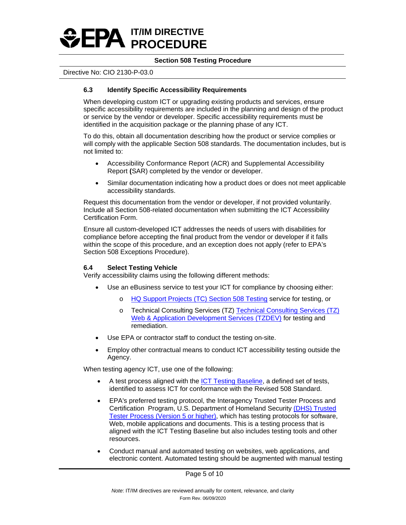

# Directive No: CIO 2130-P-03.0

# **6.3 Identify Specific Accessibility Requirements**

When developing custom ICT or upgrading existing products and services, ensure specific accessibility requirements are included in the planning and design of the product or service by the vendor or developer. Specific accessibility requirements must be identified in the acquisition package or the planning phase of any ICT.

To do this, obtain all documentation describing how the product or service complies or will comply with the applicable Section 508 standards. The documentation includes, but is not limited to:

- Accessibility Conformance Report (ACR) and Supplemental Accessibility Report **(**SAR) completed by the vendor or developer.
- Similar documentation indicating how a product does or does not meet applicable accessibility standards.

Request this documentation from the vendor or developer, if not provided voluntarily. Include all Section 508-related documentation when submitting the ICT Accessibility Certification Form.

Ensure all custom-developed ICT addresses the needs of users with disabilities for compliance before accepting the final product from the vendor or developer if it falls within the scope of this procedure, and an exception does not apply (refer to EPA's Section 508 Exceptions Procedure).

# **6.4 Select Testing Vehicle**

Verify accessibility claims using the following different methods:

- Use an eBusiness service to test your ICT for compliance by choosing either:
	- o [HQ Support Projects \(TC\) Section 508 Testing](https://ebusiness.epa.gov/ebusiness/index.cfm?event=catalog.search.service#oidCatalog_270) service for testing, or
	- o [Technical Consulting Services \(TZ\)](https://ebusiness.epa.gov/ebusiness/index.cfm?event=catalog.search.service#oidCatalog_32) Technical Consulting Services (TZ) [Web & Application Development Services \(TZDEV\)](https://ebusiness.epa.gov/ebusiness/index.cfm?event=catalog.search.service#oidCatalog_32) for testing and remediation.
- Use EPA or contractor staff to conduct the testing on-site.
- Employ other contractual means to conduct ICT accessibility testing outside the Agency.

When testing agency ICT, use one of the following:

- A test process aligned with the [ICT Testing Baseline,](https://section508coordinators.github.io/ICTTestingBaseline/introduction.html) a defined set of tests, identified to assess ICT for conformance with the Revised 508 Standard.
- EPA's preferred testing protocol, the Interagency Trusted Tester Process and Certification Program, U.S. Department of Homeland Security [\(DHS\) Trusted](https://section508.gov/test/trusted-tester) [Tester Process \(Version 5 or higher\),](https://section508.gov/test/trusted-tester) which has testing protocols for software, Web, mobile applications and documents. This is a testing process that is aligned with the ICT Testing Baseline but also includes testing tools and other resources.
- Conduct manual and automated testing on websites, web applications, and electronic content. Automated testing should be augmented with manual testing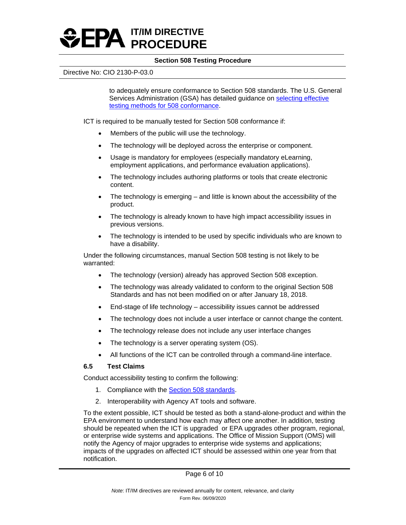

#### Directive No: CIO 2130-P-03.0

to adequately ensure conformance to Section 508 standards. The U.S. General Services Administration (GSA) has detailed guidance on [selecting effective](https://www.section508.gov/test/testing-overview) [testing methods for 508 conformance.](https://www.section508.gov/test/testing-overview)

ICT is required to be manually tested for Section 508 conformance if:

- Members of the public will use the technology.
- The technology will be deployed across the enterprise or component.
- Usage is mandatory for employees (especially mandatory eLearning, employment applications, and performance evaluation applications).
- The technology includes authoring platforms or tools that create electronic content.
- The technology is emerging  $-$  and little is known about the accessibility of the product.
- The technology is already known to have high impact accessibility issues in previous versions.
- The technology is intended to be used by specific individuals who are known to have a disability.

Under the following circumstances, manual Section 508 testing is not likely to be warranted:

- The technology (version) already has approved Section 508 exception.
- The technology was already validated to conform to the original Section 508 Standards and has not been modified on or after January 18, 2018.
- End-stage of life technology accessibility issues cannot be addressed
- The technology does not include a user interface or cannot change the content.
- The technology release does not include any user interface changes
- The technology is a server operating system (OS).
- All functions of the ICT can be controlled through a command-line interface.

#### **6.5 Test Claims**

Conduct accessibility testing to confirm the following:

- 1. Compliance with the [Section 508 standards.](https://www.access-board.gov/ict/)
- 2. Interoperability with Agency AT tools and software.

To the extent possible, ICT should be tested as both a stand-alone-product and within the EPA environment to understand how each may affect one another. In addition, testing should be repeated when the ICT is upgraded or EPA upgrades other program, regional, or enterprise wide systems and applications. The Office of Mission Support (OMS) will notify the Agency of major upgrades to enterprise wide systems and applications; impacts of the upgrades on affected ICT should be assessed within one year from that notification.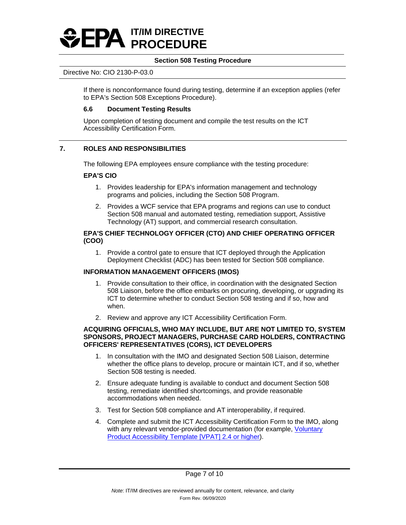

#### Directive No: CIO 2130-P-03.0

If there is nonconformance found during testing, determine if an exception applies (refer to EPA's Section 508 Exceptions Procedure).

# **6.6 Document Testing Results**

Upon completion of testing document and compile the test results on the ICT Accessibility Certification Form.

# **7. ROLES AND RESPONSIBILITIES**

The following EPA employees ensure compliance with the testing procedure:

# **EPA'S CIO**

- 1. Provides leadership for EPA's information management and technology programs and policies, including the Section 508 Program.
- 2. Provides a WCF service that EPA programs and regions can use to conduct Section 508 manual and automated testing, remediation support, Assistive Technology (AT) support, and commercial research consultation.

# **EPA'S CHIEF TECHNOLOGY OFFICER (CTO) AND CHIEF OPERATING OFFICER (COO)**

1. Provide a control gate to ensure that ICT deployed through the Application Deployment Checklist (ADC) has been tested for Section 508 compliance.

# **INFORMATION MANAGEMENT OFFICERS (IMOS)**

- 1. Provide consultation to their office, in coordination with the designated Section 508 Liaison, before the office embarks on procuring, developing, or upgrading its ICT to determine whether to conduct Section 508 testing and if so, how and when.
- 2. Review and approve any ICT Accessibility Certification Form.

# **ACQUIRING OFFICIALS, WHO MAY INCLUDE, BUT ARE NOT LIMITED TO, SYSTEM SPONSORS, PROJECT MANAGERS, PURCHASE CARD HOLDERS, CONTRACTING OFFICERS' REPRESENTATIVES (CORS), ICT DEVELOPERS**

- 1. In consultation with the IMO and designated Section 508 Liaison, determine whether the office plans to develop, procure or maintain ICT, and if so, whether Section 508 testing is needed.
- 2. Ensure adequate funding is available to conduct and document Section 508 testing, remediate identified shortcomings, and provide reasonable accommodations when needed.
- 3. Test for Section 508 compliance and AT interoperability, if required.
- 4. Complete and submit the ICT Accessibility Certification Form to the IMO, along with any relevant vendor-provided documentation (for example, [Voluntary](https://www.itic.org/policy/accessibility/vpat)  [Product Accessibility Template \[VPAT\] 2.4 or higher\)](https://www.itic.org/policy/accessibility/vpat).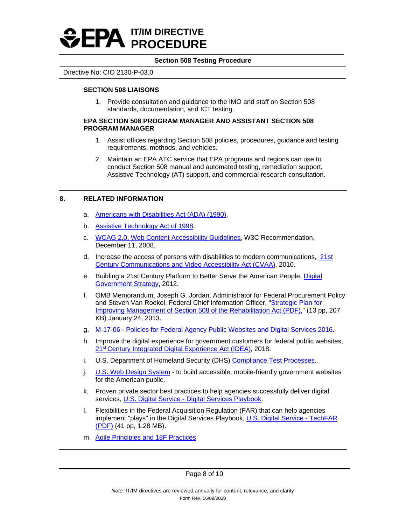

#### Directive No: CIO 2130-P-03.0

# **SECTION 508 LIAISONS**

1. Provide consultation and guidance to the IMO and staff on Section 508 standards, documentation, and ICT testing.

#### **EPA SECTION 508 PROGRAM MANAGER AND ASSISTANT SECTION 508 PROGRAM MANAGER**

- 1. Assist offices regarding Section 508 policies, procedures, guidance and testing requirements, methods, and vehicles.
- 2. Maintain an EPA ATC service that EPA programs and regions can use to conduct Section 508 manual and automated testing, remediation support, Assistive Technology (AT) support, and commercial research consultation.

# **8. RELATED INFORMATION**

- a. [Americans with Disabilities Act \(ADA\) \(1990\).](http://www.ada.gov/pubs/ada.htm)
- b. [Assistive Technology Act of 1998.](https://www.congress.gov/bill/105th-congress/senate-bill/2432)
- c. [WCAG 2.0, Web Content Accessibility Guidelines,](http://www.w3.org/TR/WCAG20/) W3C Recommendation, December 11, 2008.
- d. Increase the access of persons with disabilities to modern communications, [21st](https://www.fcc.gov/guides/21st-century-communications-and-video-accessibility-act-2010)  [Century Communications and Video Accessibility Act \(CVAA\),](https://www.fcc.gov/guides/21st-century-communications-and-video-accessibility-act-2010) 2010.
- e. Building a 21st Century Platform to Better Serve the American People, [Digital](https://obamawhitehouse.archives.gov/sites/default/files/omb/egov/digital-government/digital-government.html)  [Government Strategy,](https://obamawhitehouse.archives.gov/sites/default/files/omb/egov/digital-government/digital-government.html) 2012.
- f. OMB Memorandum, Joseph G. Jordan, Administrator for Federal Procurement Policy and Steven Van Roekel, Federal Chief Information Officer, ["Strategic Plan for](https://obamawhitehouse.archives.gov/sites/default/files/omb/procurement/memo/strategic-plan-508-compliance.pdf)  [Improving Management of Section 508 of the Rehabilitation Act \(PDF\),](https://obamawhitehouse.archives.gov/sites/default/files/omb/procurement/memo/strategic-plan-508-compliance.pdf)" (13 pp, 207 KB) January 24, 2013.
- g. [M-17-06 Policies for Federal Agency Public Websites and Digital Services 2016.](https://www.whitehouse.gov/sites/whitehouse.gov/files/omb/memoranda/2017/m-17-06.pdf)
- h. Improve the digital experience for government customers for federal public websites, [21st Century Integrated Digital Experience Act \(IDEA\),](https://digital.gov/resources/21st-century-integrated-digital-experience-act/) 2018.
- i. U.S. Department of Homeland Security (DHS) [Compliance Test Processes.](https://www.dhs.gov/compliance-test-processes)
- j. [U.S. Web Design System](https://designsystem.digital.gov/)  to build accessible, mobile-friendly government websites for the American public.
- k. Proven private sector best practices to help agencies successfully deliver digital services, [U.S. Digital Service - Digital Services Playbook.](https://playbook.cio.gov/)
- l. Flexibilities in the Federal Acquisition Regulation (FAR) that can help agencies implement "plays" in the Digital Services Playbook, [U.S. Digital Service - TechFAR](https://go.usa.gov/xfdbV)  [\(PDF\)](https://go.usa.gov/xfdbV) (41 pp, 1.28 MB).
- m. [Agile Principles and 18F Practices.](https://agile.18f.gov/)

Page 8 of 10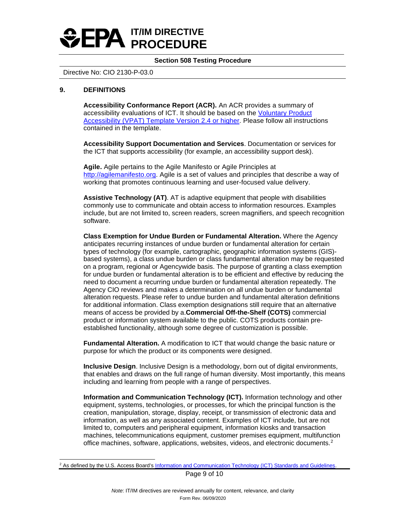

Directive No: CIO 2130-P-03.0

#### **9. DEFINITIONS**

**Accessibility Conformance Report (ACR).** An ACR provides a summary of accessibility evaluations of ICT. It should be based on the Voluntary Product [Accessibility \(VPAT\) Template Version 2.4 or higher.](http://www.itic.org/policy/accessibility/vpat) Please follow all instructions contained in the template.

**Accessibility Support Documentation and Services**. Documentation or services for the ICT that supports accessibility (for example, an accessibility support desk).

**Agile.** Agile pertains to the Agile Manifesto or Agile Principles at [http://agilemanifesto.org.](http://agilemanifesto.org/) Agile is a set of values and principles that describe a way of working that promotes continuous learning and user-focused value delivery.

**Assistive Technology (AT)**. AT is adaptive equipment that people with disabilities commonly use to communicate and obtain access to information resources. Examples include, but are not limited to, screen readers, screen magnifiers, and speech recognition software.

**Class Exemption for Undue Burden or Fundamental Alteration.** Where the Agency anticipates recurring instances of undue burden or fundamental alteration for certain types of technology (for example, cartographic, geographic information systems (GIS) based systems), a class undue burden or class fundamental alteration may be requested on a program, regional or Agencywide basis. The purpose of granting a class exemption for undue burden or fundamental alteration is to be efficient and effective by reducing the need to document a recurring undue burden or fundamental alteration repeatedly. The Agency CIO reviews and makes a determination on all undue burden or fundamental alteration requests. Please refer to undue burden and fundamental alteration definitions for additional information. Class exemption designations still require that an alternative means of access be provided by a.**Commercial Off-the-Shelf (COTS)** commercial product or information system available to the public. COTS products contain preestablished functionality, although some degree of customization is possible.

**Fundamental Alteration.** A modification to ICT that would change the basic nature or purpose for which the product or its components were designed.

**Inclusive Design**. Inclusive Design is a methodology, born out of digital environments, that enables and draws on the full range of human diversity. Most importantly, this means including and learning from people with a range of perspectives.

**Information and Communication Technology (ICT).** Information technology and other equipment, systems, technologies, or processes, for which the principal function is the creation, manipulation, storage, display, receipt, or transmission of electronic data and information, as well as any associated content. Examples of ICT include, but are not limited to, computers and peripheral equipment, information kiosks and transaction machines, telecommunications equipment, customer premises equipment, multifunction office machines, software, applications, websites, videos, and electronic documents.[2](#page-8-0)

Page 9 of 10

<span id="page-8-0"></span><sup>&</sup>lt;sup>2</sup> As defined by the U.S. Access Board's [Information and Communication Technology \(ICT\) Standards and Guidelines.](https://www.access-board.gov/guidelines-and-standards/communications-and-it/about-the-ict-refresh/final-rule)